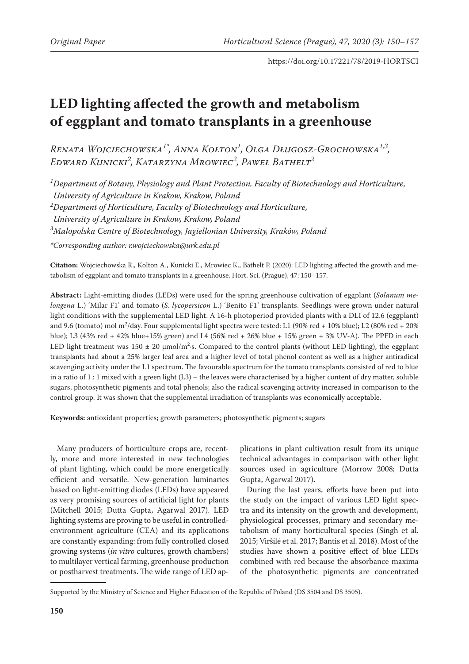# **LED lighting affected the growth and metabolism of eggplant and tomato transplants in a greenhouse**

*Renata Wojciechowska1\*, Anna Kołton1 , Olga Długosz-Grochowska1,3, Edward Kunicki2 , Katarzyna Mrowiec<sup>2</sup> , Paweł Bathelt2*

*1 Department of Botany, Physiology and Plant Protection, Faculty of Biotechnology and Horticulture, University of Agriculture in Krakow, Krakow, Poland 2 Department of Horticulture, Faculty of Biotechnology and Horticulture, University of Agriculture in Krakow, Krakow, Poland 3 Malopolska Centre of Biotechnology, Jagiellonian University, Kraków, Poland \*Corresponding author: r.wojciechowska@urk.edu.pl* 

**Citation:** Wojciechowska R., Kołton A., Kunicki E., Mrowiec K., Bathelt P. (2020): LED lighting affected the growth and metabolism of eggplant and tomato transplants in a greenhouse. Hort. Sci. (Prague), 47: 150–157.

**Abstract:** Light-emitting diodes (LEDs) were used for the spring greenhouse cultivation of eggplant (*Solanum melongena* L.) 'Milar F1' and tomato (*S. lycopersicon* L.) 'Benito F1' transplants. Seedlings were grown under natural light conditions with the supplemental LED light. A 16-h photoperiod provided plants with a DLI of 12.6 (eggplant) and 9.6 (tomato) mol m2 /day. Four supplemental light spectra were tested: L1 (90% red + 10% blue); L2 (80% red + 20% blue); L3 (43% red + 42% blue+15% green) and L4 (56% red + 26% blue + 15% green + 3% UV-A). The PPFD in each LED light treatment was  $150 \pm 20 \mu \text{mol/m}^2$  s. Compared to the control plants (without LED lighting), the eggplant transplants had about a 25% larger leaf area and a higher level of total phenol content as well as a higher antiradical scavenging activity under the L1 spectrum. The favourable spectrum for the tomato transplants consisted of red to blue in a ratio of  $1:1$  mixed with a green light  $(L3)$  – the leaves were characterised by a higher content of dry matter, soluble sugars, photosynthetic pigments and total phenols; also the radical scavenging activity increased in comparison to the control group. It was shown that the supplemental irradiation of transplants was economically acceptable.

**Keywords:** antioxidant properties; growth parameters; photosynthetic pigments; sugars

Many producers of horticulture crops are, recently, more and more interested in new technologies of plant lighting, which could be more energetically efficient and versatile. New-generation luminaries based on light-emitting diodes (LEDs) have appeared as very promising sources of artificial light for plants (Mitchell 2015; Dutta Gupta, Agarwal 2017). LED lighting systems are proving to be useful in controlledenvironment agriculture (CEA) and its applications are constantly expanding: from fully controlled closed growing systems (*in vitro* cultures, growth chambers) to multilayer vertical farming, greenhouse production or postharvest treatments. The wide range of LED ap-

plications in plant cultivation result from its unique technical advantages in comparison with other light sources used in agriculture (Morrow 2008; Dutta Gupta, Agarwal 2017).

During the last years, efforts have been put into the study on the impact of various LED light spectra and its intensity on the growth and development, physiological processes, primary and secondary metabolism of many horticultural species (Singh et al. 2015; Viršilė et al. 2017; Bantis et al. 2018). Most of the studies have shown a positive effect of blue LEDs combined with red because the absorbance maxima of the photosynthetic pigments are concentrated

Supported by the Ministry of Science and Higher Education of the Republic of Poland (DS 3504 and DS 3505).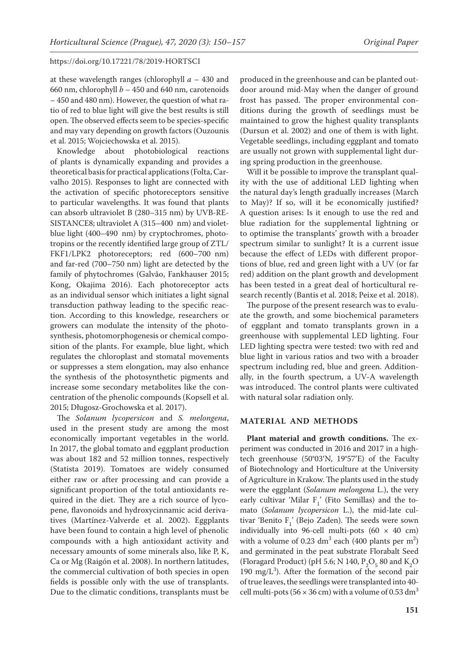at these wavelength ranges (chlorophyll *a* – 430 and 660 nm, chlorophyll *b* – 450 and 640 nm, carotenoids – 450 and 480 nm). However, the question of what ratio of red to blue light will give the best results is still open. The observed effects seem to be species-specific and may vary depending on growth factors (Ouzounis et al. 2015; Wojciechowska et al. 2015).

Knowledge about photobiological reactions of plants is dynamically expanding and provides a theoretical basis for practical applications (Folta, Carvalho 2015). Responses to light are connected with the activation of specific photoreceptors sensitive to particular wavelengths. It was found that plants can absorb ultraviolet B (280–315 nm) by UVB-RE-SISTANCE8; ultraviolet A (315–400 nm) and violetblue light (400–490 nm) by cryptochromes, phototropins or the recently identified large group of ZTL/ FKF1/LPK2 photoreceptors; red (600–700 nm) and far-red (700–750 nm) light are detected by the family of phytochromes (Galvão, Fankhauser 2015; Kong, Okajima 2016). Each photoreceptor acts as an individual sensor which initiates a light signal transduction pathway leading to the specific reaction. According to this knowledge, researchers or growers can modulate the intensity of the photosynthesis, photomorphogenesis or chemical composition of the plants. For example, blue light, which regulates the chloroplast and stomatal movements or suppresses a stem elongation, may also enhance the synthesis of the photosynthetic pigments and increase some secondary metabolites like the concentration of the phenolic compounds (Kopsell et al. 2015; Długosz-Grochowska et al. 2017).

The *Solanum lycopersicon* and *S. melongena*, used in the present study are among the most economically important vegetables in the world. In 2017, the global tomato and eggplant production was about 182 and 52 million tonnes, respectively (Statista 2019). Tomatoes are widely consumed either raw or after processing and can provide a significant proportion of the total antioxidants required in the diet. They are a rich source of lycopene, flavonoids and hydroxycinnamic acid derivatives (Martínez-Valverde et al. 2002). Eggplants have been found to contain a high level of phenolic compounds with a high antioxidant activity and necessary amounts of some minerals also, like P, K, Ca or Mg (Raigón et al. 2008). In northern latitudes, the commercial cultivation of both species in open fields is possible only with the use of transplants. Due to the climatic conditions, transplants must be

produced in the greenhouse and can be planted outdoor around mid-May when the danger of ground frost has passed. The proper environmental conditions during the growth of seedlings must be maintained to grow the highest quality transplants (Dursun et al. 2002) and one of them is with light. Vegetable seedlings, including eggplant and tomato are usually not grown with supplemental light during spring production in the greenhouse.

Will it be possible to improve the transplant quality with the use of additional LED lighting when the natural day's length gradually increases (March to May)? If so, will it be economically justified? A question arises: Is it enough to use the red and blue radiation for the supplemental lightning or to optimise the transplants' growth with a broader spectrum similar to sunlight? It is a current issue because the effect of LEDs with different proportions of blue, red and green light with a UV (or far red) addition on the plant growth and development has been tested in a great deal of horticultural research recently (Bantis et al. 2018; Peixe et al. 2018).

The purpose of the present research was to evaluate the growth, and some biochemical parameters of eggplant and tomato transplants grown in a greenhouse with supplemental LED lighting. Four LED lighting spectra were tested: two with red and blue light in various ratios and two with a broader spectrum including red, blue and green. Additionally, in the fourth spectrum, a UV-A wavelength was introduced. The control plants were cultivated with natural solar radiation only.

#### **MATERIAL AND METHODS**

**Plant material and growth conditions.** The experiment was conducted in 2016 and 2017 in a hightech greenhouse (50°03′N, 19°57′E) of the Faculty of Biotechnology and Horticulture at the University of Agriculture in Krakow. The plants used in the study were the eggplant (*Solanum melongena* L.), the very early cultivar 'Milar  $F_1'$  (Fito Semillas) and the tomato (*Solanum lycopersicon* L.), the mid-late cultivar 'Benito  $F_1'$  (Bejo Zaden). The seeds were sown individually into 96-cell multi-pots (60  $\times$  40 cm) with a volume of 0.23 dm<sup>3</sup> each (400 plants per m<sup>2</sup>) and germinated in the peat substrate Florabalt Seed (Floragard Product) (pH 5.6; N 140,  $P_2O_5$  80 and  $K_2O$ 190 mg/ $L^3$ ). After the formation of the second pair of true leaves, the seedlings were transplanted into 40 cell multi-pots (56  $\times$  36 cm) with a volume of 0.53 dm<sup>3</sup>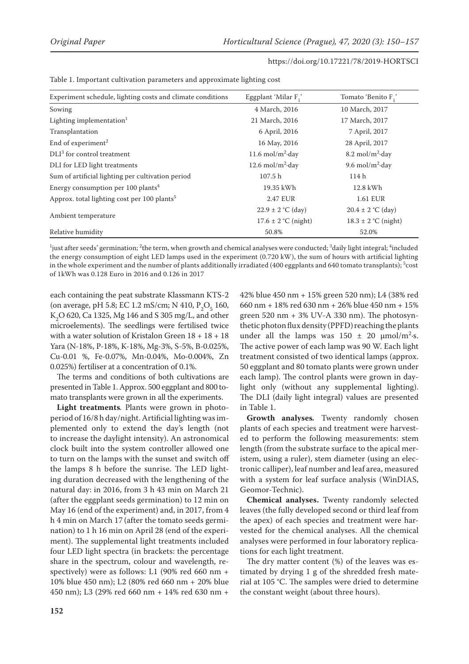| Experiment schedule, lighting costs and climate conditions | Eggplant 'Milar F,'                 | Tomato 'Benito F,'                 |
|------------------------------------------------------------|-------------------------------------|------------------------------------|
| Sowing                                                     | 4 March, 2016                       | 10 March, 2017                     |
| Lighting implementation $1$                                | 21 March, 2016                      | 17 March, 2017                     |
| Transplantation                                            | 6 April, 2016                       | 7 April, 2017                      |
| End of experiment <sup>2</sup>                             | 16 May, 2016                        | 28 April, 2017                     |
| $DLI3$ for control treatment                               | 11.6 mol/m <sup>2</sup> $\cdot$ day | $8.2 \text{ mol/m}^2$ -day         |
| DLI for LED light treatments                               | 12.6 mol/m <sup>2</sup> $\cdot$ day | 9.6 mol/m <sup>2</sup> $\cdot$ day |
| Sum of artificial lighting per cultivation period          | 107.5 h                             | 114h                               |
| Energy consumption per 100 plants <sup>4</sup>             | 19.35 kWh                           | 12.8 kWh                           |
| Approx. total lighting cost per 100 plants <sup>5</sup>    | 2.47 EUR                            | 1.61 EUR                           |
|                                                            | $22.9 \pm 2$ °C (day)               | $20.4 \pm 2$ °C (day)              |
| Ambient temperature                                        | $17.6 \pm 2$ °C (night)             | $18.3 \pm 2$ °C (night)            |
| Relative humidity                                          | 50.8%                               | 52.0%                              |

| Table 1. Important cultivation parameters and approximate lighting cost |  |  |  |
|-------------------------------------------------------------------------|--|--|--|
|-------------------------------------------------------------------------|--|--|--|

 $^{\rm l}$ just after seeds' germination;  $^{\rm 2}$ the term, when growth and chemical analyses were conducted;  $^{\rm 3}$ daily light integral;  $^{\rm 4}$ included the energy consumption of eight LED lamps used in the experiment (0.720 kW), the sum of hours with artificial lighting in the whole experiment and the number of plants additionally irradiated (400 eggplants and 640 tomato transplants);  $^5$ cost of 1kWh was 0.128 Euro in 2016 and 0.126 in 2017

each containing the peat substrate Klassmann KTS-2 (on average, pH 5.8; EC 1.2 mS/cm; N 410,  $P_2O_5$  160,  $K_2$ O 620, Ca 1325, Mg 146 and S 305 mg/L, and other microelements). The seedlings were fertilised twice with a water solution of Kristalon Green 18 + 18 + 18 Yara (N-18%, P-18%, K-18%, Mg-3%, S-5%, B-0.025%, Cu-0.01 %, Fe-0.07%, Mn-0.04%, Mo-0.004%, Zn 0.025%) fertiliser at a concentration of 0.1%.

The terms and conditions of both cultivations are presented in Table 1. Approx. 500 eggplant and 800 tomato transplants were grown in all the experiments.

**Light treatments***.* Plants were grown in photoperiod of 16/8 h day/night. Artificial lighting was implemented only to extend the day's length (not to increase the daylight intensity). An astronomical clock built into the system controller allowed one to turn on the lamps with the sunset and switch off the lamps 8 h before the sunrise. The LED lighting duration decreased with the lengthening of the natural day: in 2016, from 3 h 43 min on March 21 (after the eggplant seeds germination) to 12 min on May 16 (end of the experiment) and, in 2017, from 4 h 4 min on March 17 (after the tomato seeds germination) to 1 h 16 min on April 28 (end of the experiment). The supplemental light treatments included four LED light spectra (in brackets: the percentage share in the spectrum, colour and wavelength, respectively) were as follows: L1 (90% red 660 nm + 10% blue 450 nm); L2 (80% red 660 nm + 20% blue 450 nm); L3 (29% red 660 nm + 14% red 630 nm +

42% blue 450 nm + 15% green 520 nm); L4 (38% red 660 nm + 18% red 630 nm + 26% blue 450 nm + 15% green 520 nm  $+ 3\%$  UV-A 330 nm). The photosynthetic photon flux density (PPFD) reaching the plants under all the lamps was  $150 \pm 20 \, \mu \text{mol/m}^2$ . The active power of each lamp was 90 W. Each light treatment consisted of two identical lamps (approx. 50 eggplant and 80 tomato plants were grown under each lamp). The control plants were grown in daylight only (without any supplemental lighting). The DLI (daily light integral) values are presented in Table 1.

**Growth analyses***.* Twenty randomly chosen plants of each species and treatment were harvested to perform the following measurements: stem length (from the substrate surface to the apical meristem, using a ruler), stem diameter (using an electronic calliper), leaf number and leaf area, measured with a system for leaf surface analysis (WinDIAS, Geomor-Technic).

**Chemical analyses.** Twenty randomly selected leaves (the fully developed second or third leaf from the apex) of each species and treatment were harvested for the chemical analyses. All the chemical analyses were performed in four laboratory replications for each light treatment.

The dry matter content (%) of the leaves was estimated by drying 1 g of the shredded fresh material at 105 °C. The samples were dried to determine the constant weight (about three hours).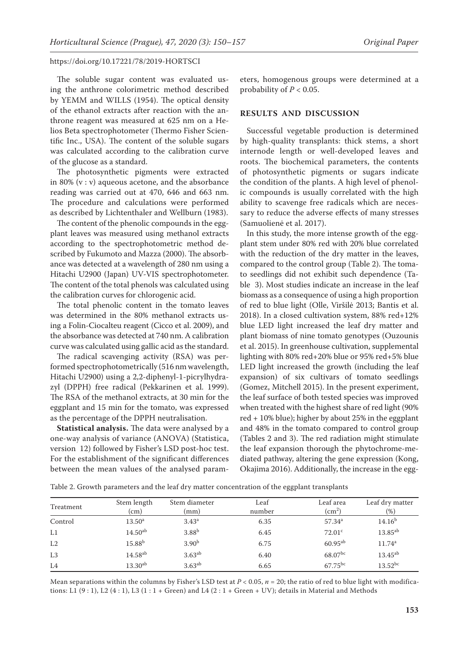The soluble sugar content was evaluated using the anthrone colorimetric method described by YEMM and WILLS (1954). The optical density of the ethanol extracts after reaction with the anthrone reagent was measured at 625 nm on a Helios Beta spectrophotometer (Thermo Fisher Scientific Inc., USA). The content of the soluble sugars was calculated according to the calibration curve of the glucose as a standard.

The photosynthetic pigments were extracted in 80% (v : v) aqueous acetone, and the absorbance reading was carried out at 470, 646 and 663 nm. The procedure and calculations were performed as described by Lichtenthaler and Wellburn (1983).

The content of the phenolic compounds in the eggplant leaves was measured using methanol extracts according to the spectrophotometric method described by Fukumoto and Mazza (2000). The absorbance was detected at a wavelength of 280 nm using a Hitachi U2900 (Japan) UV-VIS spectrophotometer. The content of the total phenols was calculated using the calibration curves for chlorogenic acid.

The total phenolic content in the tomato leaves was determined in the 80% methanol extracts using a Folin-Ciocalteu reagent (Cicco et al. 2009), and the absorbance was detected at 740 nm. A calibration curve was calculated using gallic acid as the standard.

The radical scavenging activity (RSA) was performed spectrophotometrically (516 nm wavelength, Hitachi U2900) using a 2,2-diphenyl-1-picrylhydrazyl (DPPH) free radical (Pekkarinen et al. 1999). The RSA of the methanol extracts, at 30 min for the eggplant and 15 min for the tomato, was expressed as the percentage of the DPPH neutralisation.

**Statistical analysis.** The data were analysed by a one-way analysis of variance (ANOVA) (Statistica, version 12) followed by Fisher's LSD post-hoc test. For the establishment of the significant differences between the mean values of the analysed parameters, homogenous groups were determined at a probability of  $P < 0.05$ .

#### **RESULTS AND DISCUSSION**

Successful vegetable production is determined by high-quality transplants: thick stems, a short internode length or well-developed leaves and roots. The biochemical parameters, the contents of photosynthetic pigments or sugars indicate the condition of the plants. A high level of phenolic compounds is usually correlated with the high ability to scavenge free radicals which are necessary to reduce the adverse effects of many stresses (Samuolienė et al. 2017).

In this study, the more intense growth of the eggplant stem under 80% red with 20% blue correlated with the reduction of the dry matter in the leaves, compared to the control group (Table 2). The tomato seedlings did not exhibit such dependence (Table 3). Most studies indicate an increase in the leaf biomass as a consequence of using a high proportion of red to blue light (Olle, Viršilė 2013; Bantis et al. 2018). In a closed cultivation system, 88% red+12% blue LED light increased the leaf dry matter and plant biomass of nine tomato genotypes (Ouzounis et al. 2015). In greenhouse cultivation, supplemental lighting with 80% red+20% blue or 95% red+5% blue LED light increased the growth (including the leaf expansion) of six cultivars of tomato seedlings (Gomez, Mitchell 2015). In the present experiment, the leaf surface of both tested species was improved when treated with the highest share of red light (90% red + 10% blue); higher by about 25% in the eggplant and 48% in the tomato compared to control group (Tables 2 and 3). The red radiation might stimulate the leaf expansion thorough the phytochrome-mediated pathway, altering the gene expression (Kong, Okajima 2016). Additionally, the increase in the egg-

| Treatment      | Stem length<br>(cm)   | Stem diameter<br>(mm) | Leaf<br>number | Leaf area<br>$\rm (cm^2)$ | Leaf dry matter<br>$\frac{9}{6}$ |
|----------------|-----------------------|-----------------------|----------------|---------------------------|----------------------------------|
| Control        | $13.50^{\rm a}$       | 3.43 <sup>a</sup>     | 6.35           | $57.34^a$                 | 14.16 <sup>b</sup>               |
| L1             | 14.50 <sup>ab</sup>   | 3.88 <sup>b</sup>     | 6.45           | 72.01 <sup>c</sup>        | $13.85^{ab}$                     |
| L2             | $15.88^{b}$           | 3.90 <sup>b</sup>     | 6.75           | $60.95^{ab}$              | $11.74^{\rm a}$                  |
| L <sub>3</sub> | $14.58$ <sup>ab</sup> | $3.63^{ab}$           | 6.40           | $68.07^{bc}$              | $13.45^{ab}$                     |
| L <sub>4</sub> | $13.30$ <sup>ab</sup> | $3.63^{ab}$           | 6.65           | $67.75^{bc}$              | $13.52^{bc}$                     |

Table 2. Growth parameters and the leaf dry matter concentration of the eggplant transplants

Mean separations within the columns by Fisher's LSD test at  $P < 0.05$ ,  $n = 20$ ; the ratio of red to blue light with modifications: L1 (9 : 1), L2 (4 : 1), L3 (1 : 1 + Green) and L4 (2 : 1 + Green + UV); details in Material and Methods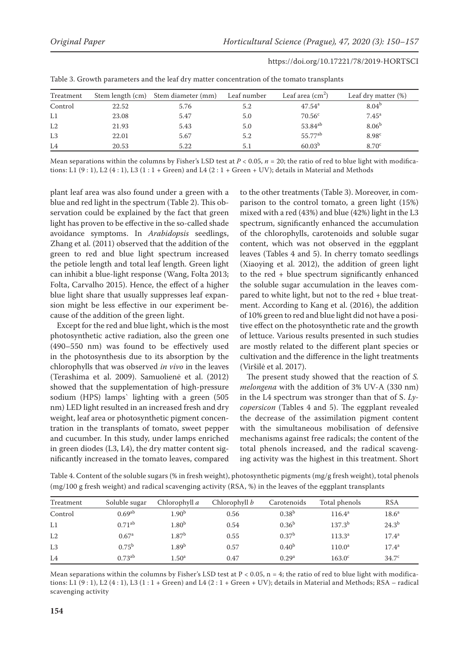| Table 5. Growth parameters and the lear ary matter concentration of the tomato transplants |       |                                     |             |                        |                     |  |  |  |
|--------------------------------------------------------------------------------------------|-------|-------------------------------------|-------------|------------------------|---------------------|--|--|--|
| Treatment                                                                                  |       | Stem length (cm) Stem diameter (mm) | Leaf number | Leaf area $\rm (cm^2)$ | Leaf dry matter (%) |  |  |  |
| Control                                                                                    | 22.52 | 5.76                                | 5.2         | $47.54^{\rm a}$        | $8.04^{b}$          |  |  |  |
| L1                                                                                         | 23.08 | 5.47                                | 5.0         | 70.56 <sup>c</sup>     | 7.45 <sup>a</sup>   |  |  |  |
| L2                                                                                         | 21.93 | 5.43                                | 5.0         | 53.84 <sup>ab</sup>    | 8.06 <sup>b</sup>   |  |  |  |
| L3                                                                                         | 22.01 | 5.67                                | 5.2         | 55.77 <sup>ab</sup>    | 8.98 <sup>c</sup>   |  |  |  |
| L4                                                                                         | 20.53 | 5.22                                | 5.1         | 60.03 <sup>b</sup>     | 8.70 <sup>c</sup>   |  |  |  |

https://doi.org/10.17221/78/2019-HORTSCI

|  |  |  |  |  |  |  | Table 3. Growth parameters and the leaf dry matter concentration of the tomato transplants |  |  |  |
|--|--|--|--|--|--|--|--------------------------------------------------------------------------------------------|--|--|--|
|--|--|--|--|--|--|--|--------------------------------------------------------------------------------------------|--|--|--|

Mean separations within the columns by Fisher's LSD test at  $P < 0.05$ ,  $n = 20$ ; the ratio of red to blue light with modifications: L1  $(9:1)$ , L2  $(4:1)$ , L3  $(1:1 +$  Green) and L4  $(2:1 +$  Green + UV); details in Material and Methods

plant leaf area was also found under a green with a blue and red light in the spectrum (Table 2). This observation could be explained by the fact that green light has proven to be effective in the so-called shade avoidance symptoms. In *Arabidopsis* seedlings, Zhang et al. (2011) observed that the addition of the green to red and blue light spectrum increased the petiole length and total leaf length. Green light can inhibit a blue-light response (Wang, Folta 2013; Folta, Carvalho 2015). Hence, the effect of a higher blue light share that usually suppresses leaf expansion might be less effective in our experiment because of the addition of the green light.

Except for the red and blue light, which is the most photosynthetic active radiation, also the green one (490–550 nm) was found to be effectively used in the photosynthesis due to its absorption by the chlorophylls that was observed *in vivo* in the leaves (Terashima et al. 2009). Samuolienė et al. (2012) showed that the supplementation of high-pressure sodium (HPS) lamps` lighting with a green (505 nm) LED light resulted in an increased fresh and dry weight, leaf area or photosynthetic pigment concentration in the transplants of tomato, sweet pepper and cucumber. In this study, under lamps enriched in green diodes (L3, L4), the dry matter content significantly increased in the tomato leaves, compared to the other treatments (Table 3). Moreover, in comparison to the control tomato, a green light (15%) mixed with a red (43%) and blue (42%) light in the L3 spectrum, significantly enhanced the accumulation of the chlorophylls, carotenoids and soluble sugar content, which was not observed in the eggplant leaves (Tables 4 and 5). In cherry tomato seedlings (Xiaoying et al. 2012), the addition of green light to the red + blue spectrum significantly enhanced the soluble sugar accumulation in the leaves compared to white light, but not to the red + blue treatment. According to Kang et al. (2016), the addition of 10% green to red and blue light did not have a positive effect on the photosynthetic rate and the growth of lettuce. Various results presented in such studies are mostly related to the different plant species or cultivation and the difference in the light treatments (Viršilė et al. 2017).

The present study showed that the reaction of *S. melongena* with the addition of 3% UV-A (330 nm) in the L4 spectrum was stronger than that of S. *Lycopersicon* (Tables 4 and 5). The eggplant revealed the decrease of the assimilation pigment content with the simultaneous mobilisation of defensive mechanisms against free radicals; the content of the total phenols increased, and the radical scavenging activity was the highest in this treatment. Short

Table 4. Content of the soluble sugars (% in fresh weight), photosynthetic pigments (mg/g fresh weight), total phenols (mg/100 g fresh weight) and radical scavenging activity (RSA, %) in the leaves of the eggplant transplants

| Treatment      | Soluble sugar      | Chlorophyll $a$   | Chlorophyll b | Carotenoids       | Total phenols   | <b>RSA</b>        |
|----------------|--------------------|-------------------|---------------|-------------------|-----------------|-------------------|
| Control        | 0.69 <sup>ab</sup> | $1.90^{\rm b}$    | 0.56          | 0.38 <sup>b</sup> | $116.4^{\rm a}$ | 18.6 <sup>a</sup> |
| L1             | $0.71^{ab}$        | $1.80^{\rm b}$    | 0.54          | 0.36 <sup>b</sup> | $137.3^{b}$     | $24.3^{b}$        |
| L2             | 0.67 <sup>a</sup>  | $1.87^b$          | 0.55          | 0.37 <sup>b</sup> | $113.3^a$       | $17.4^{\rm a}$    |
| L <sub>3</sub> | $0.75^{\rm b}$     | 1.89 <sup>b</sup> | 0.57          | 0.40 <sup>b</sup> | $110.0^{\rm a}$ | $17.4^{\rm a}$    |
| L4             | $0.73^{ab}$        | 1.50 <sup>a</sup> | 0.47          | 0.29 <sup>a</sup> | $163.0^{\circ}$ | 34.7 <sup>c</sup> |

Mean separations within the columns by Fisher's LSD test at  $P < 0.05$ ,  $n = 4$ ; the ratio of red to blue light with modifications: L1  $(9:1)$ , L2  $(4:1)$ , L3  $(1:1 +$  Green) and L4  $(2:1 +$  Green + UV); details in Material and Methods; RSA – radical scavenging activity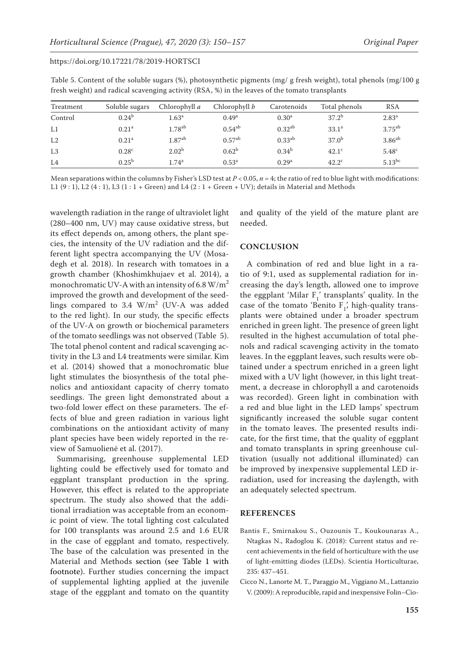| Treatment      | Soluble sugars    | Chlorophyll a        | Chlorophyll b     | Carotenoids       | Total phenols     | <b>RSA</b>        |
|----------------|-------------------|----------------------|-------------------|-------------------|-------------------|-------------------|
| Control        | $0.24^{b}$        | 1.63 <sup>a</sup>    | 0.49 <sup>a</sup> | 0.30 <sup>a</sup> | $37.2^{b}$        | 2.83 <sup>a</sup> |
| L1             | 0.21 <sup>a</sup> | $1.78$ <sup>ab</sup> | $0.54^{ab}$       | $0.32^{ab}$       | 33.1 <sup>a</sup> | $3.75^{ab}$       |
| L2             | 0.21 <sup>a</sup> | $1.87^{ab}$          | $0.57^{ab}$       | $0.33^{ab}$       | $37.0^{b}$        | $3.86^{ab}$       |
| L <sub>3</sub> | 0.28 <sup>c</sup> | 2.02 <sup>b</sup>    | 0.62 <sup>b</sup> | 0.34 <sup>b</sup> | 42.1 <sup>c</sup> | 5.48 <sup>c</sup> |
| L <sub>4</sub> | $0.25^{b}$        | $1.74^{\rm a}$       | $0.53^{\rm a}$    | 0.29 <sup>a</sup> | $42.2^{\circ}$    | $5.13^{bc}$       |

Table 5. Content of the soluble sugars (%), photosynthetic pigments (mg/ g fresh weight), total phenols (mg/100 g fresh weight) and radical scavenging activity (RSA, %) in the leaves of the tomato transplants

Mean separations within the columns by Fisher's LSD test at  $P < 0.05$ ,  $n = 4$ ; the ratio of red to blue light with modifications: L1  $(9:1)$ , L2  $(4:1)$ , L3  $(1:1 +$  Green) and L4  $(2:1 +$  Green + UV); details in Material and Methods

wavelength radiation in the range of ultraviolet light (280–400 nm, UV) may cause oxidative stress, but its effect depends on, among others, the plant species, the intensity of the UV radiation and the different light spectra accompanying the UV (Mosadegh et al. 2018). In research with tomatoes in a growth chamber (Khoshimkhujaev et al. 2014), a monochromatic UV-A with an intensity of 6.8  $W/m^2$ improved the growth and development of the seedlings compared to  $3.4 \, \text{W/m}^2$  (UV-A was added to the red light). In our study, the specific effects of the UV-A on growth or biochemical parameters of the tomato seedlings was not observed (Table 5). The total phenol content and radical scavenging activity in the L3 and L4 treatments were similar. Kim et al. (2014) showed that a monochromatic blue light stimulates the biosynthesis of the total phenolics and antioxidant capacity of cherry tomato seedlings. The green light demonstrated about a two-fold lower effect on these parameters. The effects of blue and green radiation in various light combinations on the antioxidant activity of many plant species have been widely reported in the review of Samuolienė et al. (2017).

Summarising, greenhouse supplemental LED lighting could be effectively used for tomato and eggplant transplant production in the spring. However, this effect is related to the appropriate spectrum. The study also showed that the additional irradiation was acceptable from an economic point of view. The total lighting cost calculated for 100 transplants was around 2.5 and 1.6 EUR in the case of eggplant and tomato, respectively. The base of the calculation was presented in the Material and Methods section (see Table 1 with footnote). Further studies concerning the impact of supplemental lighting applied at the juvenile stage of the eggplant and tomato on the quantity and quality of the yield of the mature plant are needed.

## **CONCLUSION**

A combination of red and blue light in a ratio of 9:1, used as supplemental radiation for increasing the day's length, allowed one to improve the eggplant 'Milar  $F_1$ ' transplants' quality. In the case of the tomato 'Benito  $F_1$ ', high-quality transplants were obtained under a broader spectrum enriched in green light. The presence of green light resulted in the highest accumulation of total phenols and radical scavenging activity in the tomato leaves. In the eggplant leaves, such results were obtained under a spectrum enriched in a green light mixed with a UV light (however, in this light treatment, a decrease in chlorophyll a and carotenoids was recorded). Green light in combination with a red and blue light in the LED lamps' spectrum significantly increased the soluble sugar content in the tomato leaves. The presented results indicate, for the first time, that the quality of eggplant and tomato transplants in spring greenhouse cultivation (usually not additional illuminated) can be improved by inexpensive supplemental LED irradiation, used for increasing the daylength, with an adequately selected spectrum.

#### **REFERENCES**

- Bantis F., Smirnakou S., Ouzounis T., Koukounaras A., Ntagkas N., Radoglou K. (2018): Current status and recent achievements in the field of horticulture with the use of light-emitting diodes (LEDs). Scientia Horticulturae, 235: 437–451.
- Cicco N., Lanorte M. T., Paraggio M., Viggiano M., Lattanzio V. (2009): A reproducible, rapid and inexpensive Folin–Cio-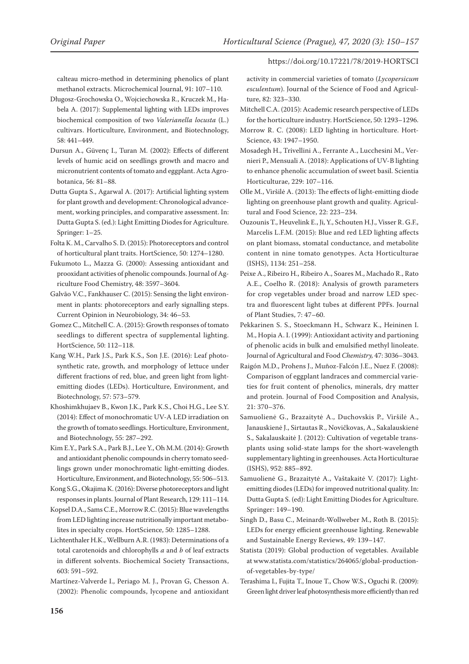calteau micro-method in determining phenolics of plant methanol extracts. Microchemical Journal, 91: 107–110.

- Długosz-Grochowska O., Wojciechowska R., Kruczek M., Habela A. (2017): Supplemental lighting with LEDs improves biochemical composition of two *Valerianella locusta* (L.) cultivars. Horticulture, Environment, and Biotechnology, 58: 441–449.
- Dursun A., Güvenç I., Turan M. (2002): Effects of different levels of humic acid on seedlings growth and macro and micronutrient contents of tomato and eggplant. Acta Agrobotanica, 56: 81–88.
- Dutta Gupta S., Agarwal A. (2017): Artificial lighting system for plant growth and development: Chronological advancement, working principles, and comparative assessment. In: Dutta Gupta S. (ed.): Light Emitting Diodes for Agriculture. Springer: 1–25.
- Folta K. M., Carvalho S. D. (2015): Photoreceptors and control of horticultural plant traits. HortScience, 50: 1274–1280.
- Fukumoto L., Mazza G. (2000): Assessing antioxidant and prooxidant activities of phenolic compounds. Journal of Agriculture Food Chemistry, 48: 3597–3604.
- Galvão V.C., Fankhauser C. (2015): Sensing the light environment in plants: photoreceptors and early signalling steps. Current Opinion in Neurobiology, 34: 46–53.
- Gomez C., Mitchell C. A. (2015): Growth responses of tomato seedlings to different spectra of supplemental lighting. HortScience, 50: 112–118.
- Kang W.H., Park J.S., Park K.S., Son J.E. (2016): Leaf photosynthetic rate, growth, and morphology of lettuce under different fractions of red, blue, and green light from lightemitting diodes (LEDs). Horticulture, Environment, and Biotechnology, 57: 573–579.
- Khoshimkhujaev B., Kwon J.K., Park K.S., Choi H.G., Lee S.Y. (2014): Effect of monochromatic UV-A LED irradiation on the growth of tomato seedlings. Horticulture, Environment, and Biotechnology, 55: 287–292.
- Kim E.Y., Park S.A., Park B.J., Lee Y., Oh M.M. (2014): Growth and antioxidant phenolic compounds in cherry tomato seedlings grown under monochromatic light-emitting diodes. Horticulture, Environment, and Biotechnology, 55: 506–513.
- Kong S.G., Okajima K. (2016): Diverse photoreceptors and light responses in plants. Journal of Plant Research, 129: 111–114.
- Kopsel D.A., Sams C.E., Morrow R.C. (2015): Blue wavelengths from LED lighting increase nutritionally important metabolites in specialty crops. HortScience, 50: 1285–1288.
- Lichtenthaler H.K., Wellburn A.R. (1983): Determinations of a total carotenoids and chlorophylls *a* and *b* of leaf extracts in different solvents. Biochemical Society Transactions, 603: 591–592.
- Martínez-Valverde I., Periago M. J., Provan G, Chesson A. (2002): Phenolic compounds, lycopene and antioxidant

#### https://doi.org/10.17221/78/2019-HORTSCI

activity in commercial varieties of tomato (*Lycopersicum esculentum*). Journal of the Science of Food and Agriculture, 82: 323–330.

- Mitchell C.A. (2015): Academic research perspective of LEDs for the horticulture industry. HortScience, 50: 1293–1296.
- Morrow R. C. (2008): LED lighting in horticulture. Hort-Science, 43: 1947–1950.
- Mosadegh H., Trivellini A., Ferrante A., Lucchesini M., Vernieri P., Mensuali A. (2018): Applications of UV-B lighting to enhance phenolic accumulation of sweet basil. Scientia Horticulturae, 229: 107–116.
- Olle M., Viršilė A. (2013): The effects of light-emitting diode lighting on greenhouse plant growth and quality. Agricultural and Food Science, 22: 223–234.
- Ouzounis T., Heuvelink E., Ji, Y., Schouten H.J., Visser R. G.F., Marcelis L.F.M. (2015): Blue and red LED lighting affects on plant biomass, stomatal conductance, and metabolite content in nine tomato genotypes. Acta Horticulturae (ISHS), 1134: 251–258.
- Peixe A., Ribeiro H., Ribeiro A., Soares M., Machado R., Rato A.E., Coelho R. (2018): Analysis of growth parameters for crop vegetables under broad and narrow LED spectra and fluorescent light tubes at different PPFs. Journal of Plant Studies, 7: 47–60.
- Pekkarinen S. S., Stoeckmann H., Schwarz K., Heininen I. M., Hopia A. I. (1999): Antioxidant activity and partioning of phenolic acids in bulk and emulsified methyl linoleate. Journal of Agricultural and Food *Chemistry,* 47: 3036–3043.
- Raigón M.D., Prohens J., Muñoz-Falcón J.E., Nuez F. (2008): Comparison of eggplant landraces and commercial varieties for fruit content of phenolics, minerals, dry matter and protein. Journal of Food Composition and Analysis, 21: 370–376.
- Samuolienė G., Brazaitytė A., Duchovskis P., Viršilė A., Janauskienė J., Sirtautas R., Novičkovas, A., Sakalauskienė S., Sakalauskaitė J. (2012): Cultivation of vegetable transplants using solid-state lamps for the short-wavelength supplementary lighting in greenhouses. Acta Horticulturae (ISHS), 952: 885–892.
- Samuolienė G., Brazaitytė A., Vaštakaitė V. (2017): Lightemitting diodes (LEDs) for improved nutritional quality. In: Dutta Gupta S. (ed): Light Emitting Diodes for Agriculture. Springer: 149–190.
- Singh D., Basu C., Meinardt-Wollweber M., Roth B. (2015): LEDs for energy efficient greenhouse lighting. Renewable and Sustainable Energy Reviews, 49: 139–147.
- Statista (2019): Global production of vegetables. Available at www.statista.com/statistics/264065/global-productionof-vegetables-by-type/
- Terashima I., Fujita T., Inoue T., Chow W.S., Oguchi R. (2009): Green light driver leaf photosynthesis more efficiently than red